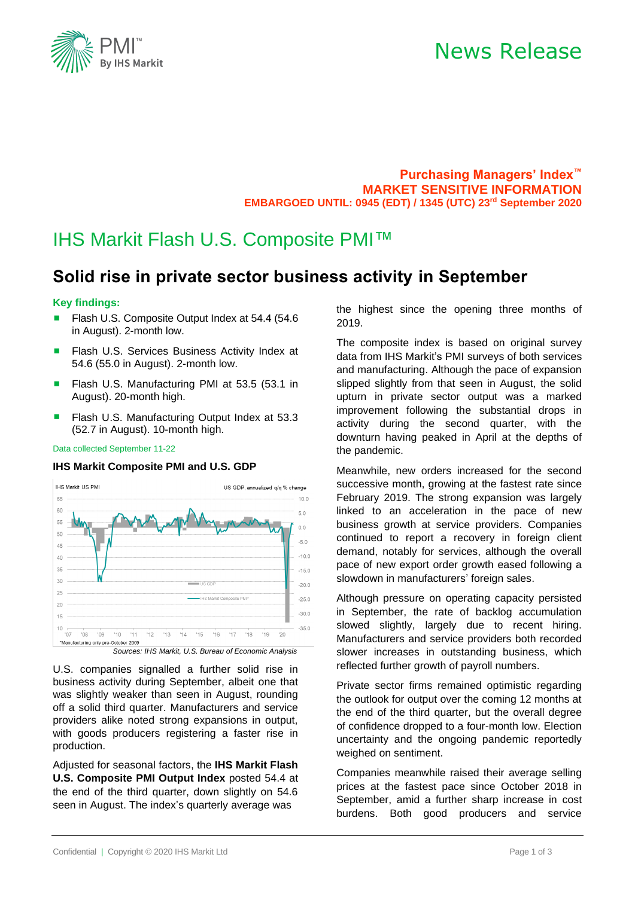

## News Release

**Purchasing Managers' Index™ MARKET SENSITIVE INFORMATION EMBARGOED UNTIL: 0945 (EDT) / 1345 (UTC) 23 rd September 2020**

## IHS Markit Flash U.S. Composite PMI™

## **Solid rise in private sector business activity in September**

### **Key findings:**

- Flash U.S. Composite Output Index at 54.4 (54.6 in August). 2-month low.
- Flash U.S. Services Business Activity Index at 54.6 (55.0 in August). 2-month low.
- Flash U.S. Manufacturing PMI at 53.5 (53.1 in August). 20-month high.
- Flash U.S. Manufacturing Output Index at 53.3 (52.7 in August). 10-month high.

Data collected September 11-22

### **IHS Markit Composite PMI and U.S. GDP**



U.S. companies signalled a further solid rise in business activity during September, albeit one that was slightly weaker than seen in August, rounding off a solid third quarter. Manufacturers and service providers alike noted strong expansions in output, with goods producers registering a faster rise in production.

Adjusted for seasonal factors, the **IHS Markit Flash U.S. Composite PMI Output Index** posted 54.4 at the end of the third quarter, down slightly on 54.6 seen in August. The index's quarterly average was

the highest since the opening three months of 2019.

The composite index is based on original survey data from IHS Markit's PMI surveys of both services and manufacturing. Although the pace of expansion slipped slightly from that seen in August, the solid upturn in private sector output was a marked improvement following the substantial drops in activity during the second quarter, with the downturn having peaked in April at the depths of the pandemic.

Meanwhile, new orders increased for the second successive month, growing at the fastest rate since February 2019. The strong expansion was largely linked to an acceleration in the pace of new business growth at service providers. Companies continued to report a recovery in foreign client demand, notably for services, although the overall pace of new export order growth eased following a slowdown in manufacturers' foreign sales.

Although pressure on operating capacity persisted in September, the rate of backlog accumulation slowed slightly, largely due to recent hiring. Manufacturers and service providers both recorded slower increases in outstanding business, which reflected further growth of payroll numbers.

Private sector firms remained optimistic regarding the outlook for output over the coming 12 months at the end of the third quarter, but the overall degree of confidence dropped to a four-month low. Election uncertainty and the ongoing pandemic reportedly weighed on sentiment.

Companies meanwhile raised their average selling prices at the fastest pace since October 2018 in September, amid a further sharp increase in cost burdens. Both good producers and service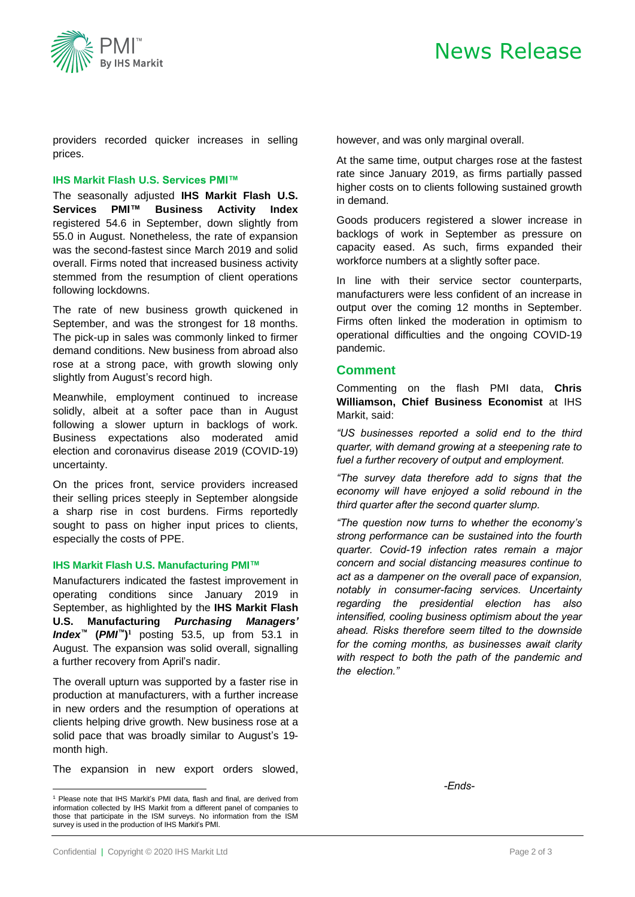

providers recorded quicker increases in selling prices.

### **IHS Markit Flash U.S. Services PMI™**

The seasonally adjusted **IHS Markit Flash U.S. Services PMI™ Business Activity Index** registered 54.6 in September, down slightly from 55.0 in August. Nonetheless, the rate of expansion was the second-fastest since March 2019 and solid overall. Firms noted that increased business activity stemmed from the resumption of client operations following lockdowns.

The rate of new business growth quickened in September, and was the strongest for 18 months. The pick-up in sales was commonly linked to firmer demand conditions. New business from abroad also rose at a strong pace, with growth slowing only slightly from August's record high.

Meanwhile, employment continued to increase solidly, albeit at a softer pace than in August following a slower upturn in backlogs of work. Business expectations also moderated amid election and coronavirus disease 2019 (COVID-19) uncertainty.

On the prices front, service providers increased their selling prices steeply in September alongside a sharp rise in cost burdens. Firms reportedly sought to pass on higher input prices to clients, especially the costs of PPE.

### **IHS Markit Flash U.S. Manufacturing PMI™**

Manufacturers indicated the fastest improvement in operating conditions since January 2019 in September, as highlighted by the **IHS Markit Flash U.S. Manufacturing** *Purchasing Managers' Index™* **(***PMI ™***) <sup>1</sup>** posting 53.5, up from 53.1 in August. The expansion was solid overall, signalling a further recovery from April's nadir.

The overall upturn was supported by a faster rise in production at manufacturers, with a further increase in new orders and the resumption of operations at clients helping drive growth. New business rose at a solid pace that was broadly similar to August's 19 month high.

The expansion in new export orders slowed,

however, and was only marginal overall.

At the same time, output charges rose at the fastest rate since January 2019, as firms partially passed higher costs on to clients following sustained growth in demand.

Goods producers registered a slower increase in backlogs of work in September as pressure on capacity eased. As such, firms expanded their workforce numbers at a slightly softer pace.

In line with their service sector counterparts, manufacturers were less confident of an increase in output over the coming 12 months in September. Firms often linked the moderation in optimism to operational difficulties and the ongoing COVID-19 pandemic.

## **Comment**

Commenting on the flash PMI data, **Chris Williamson, Chief Business Economist** at IHS Markit, said:

*"US businesses reported a solid end to the third quarter, with demand growing at a steepening rate to fuel a further recovery of output and employment.*

*"The survey data therefore add to signs that the economy will have enjoyed a solid rebound in the third quarter after the second quarter slump.*

*"The question now turns to whether the economy's strong performance can be sustained into the fourth quarter. Covid-19 infection rates remain a major concern and social distancing measures continue to act as a dampener on the overall pace of expansion, notably in consumer-facing services. Uncertainty regarding the presidential election has also intensified, cooling business optimism about the year ahead. Risks therefore seem tilted to the downside for the coming months, as businesses await clarity with respect to both the path of the pandemic and the election."*

*-Ends-*

<sup>&</sup>lt;sup>1</sup> Please note that IHS Markit's PMI data, flash and final, are derived from information collected by IHS Markit from a different panel of companies to those that participate in the ISM surveys. No information from the ISM survey is used in the production of IHS Markit's PMI.